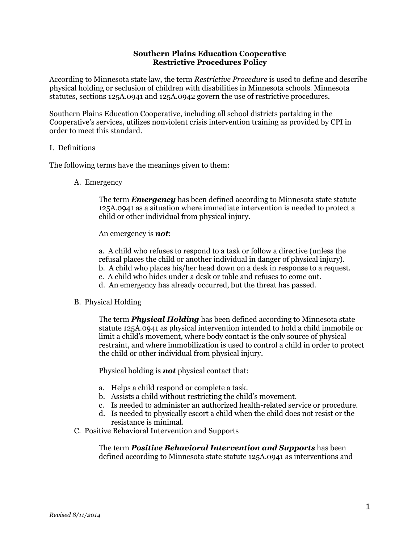# **Southern Plains Education Cooperative Restrictive Procedures Policy**

According to Minnesota state law, the term *Restrictive Procedure* is used to define and describe physical holding or seclusion of children with disabilities in Minnesota schools. Minnesota statutes, sections 125A.0941 and 125A.0942 govern the use of restrictive procedures.

Southern Plains Education Cooperative, including all school districts partaking in the Cooperative's services, utilizes nonviolent crisis intervention training as provided by CPI in order to meet this standard.

## I. Definitions

The following terms have the meanings given to them:

A. Emergency

The term *Emergency* has been defined according to Minnesota state statute 125A.0941 as a situation where immediate intervention is needed to protect a child or other individual from physical injury.

An emergency is *not*:

a. A child who refuses to respond to a task or follow a directive (unless the refusal places the child or another individual in danger of physical injury). b. A child who places his/her head down on a desk in response to a request. c. A child who hides under a desk or table and refuses to come out.

- d. An emergency has already occurred, but the threat has passed.
- B. Physical Holding

The term *Physical Holding* has been defined according to Minnesota state statute 125A.0941 as physical intervention intended to hold a child immobile or limit a child's movement, where body contact is the only source of physical restraint, and where immobilization is used to control a child in order to protect the child or other individual from physical injury.

Physical holding is *not* physical contact that:

- a. Helps a child respond or complete a task.
- b. Assists a child without restricting the child's movement.
- c. Is needed to administer an authorized health-related service or procedure.
- d. Is needed to physically escort a child when the child does not resist or the resistance is minimal.
- C. Positive Behavioral Intervention and Supports

The term *Positive Behavioral Intervention and Supports* has been defined according to Minnesota state statute 125A.0941 as interventions and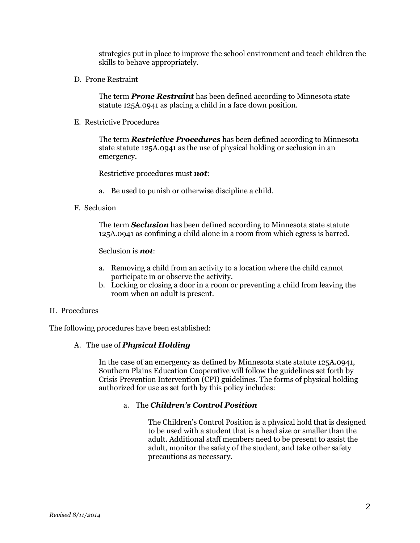strategies put in place to improve the school environment and teach children the skills to behave appropriately.

D. Prone Restraint

The term *Prone Restraint* has been defined according to Minnesota state statute 125A.0941 as placing a child in a face down position.

E. Restrictive Procedures

The term *Restrictive Procedures* has been defined according to Minnesota state statute 125A.0941 as the use of physical holding or seclusion in an emergency.

Restrictive procedures must *not*:

- a. Be used to punish or otherwise discipline a child.
- F. Seclusion

The term *Seclusion* has been defined according to Minnesota state statute 125A.0941 as confining a child alone in a room from which egress is barred.

Seclusion is *not*:

- a. Removing a child from an activity to a location where the child cannot participate in or observe the activity.
- b. Locking or closing a door in a room or preventing a child from leaving the room when an adult is present.
- II. Procedures

The following procedures have been established:

A. The use of *Physical Holding*

In the case of an emergency as defined by Minnesota state statute 125A.0941, Southern Plains Education Cooperative will follow the guidelines set forth by Crisis Prevention Intervention (CPI) guidelines. The forms of physical holding authorized for use as set forth by this policy includes:

## a. The *Children's Control Position*

The Children's Control Position is a physical hold that is designed to be used with a student that is a head size or smaller than the adult. Additional staff members need to be present to assist the adult, monitor the safety of the student, and take other safety precautions as necessary.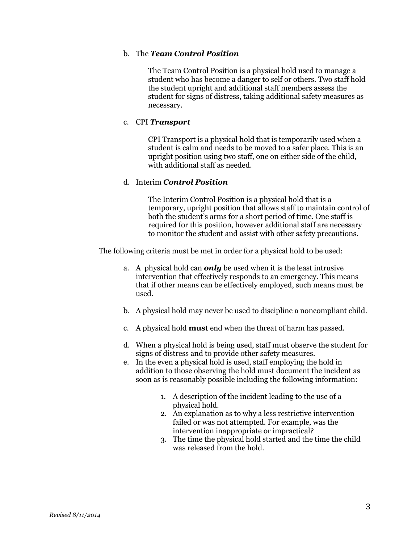## b. The *Team Control Position*

The Team Control Position is a physical hold used to manage a student who has become a danger to self or others. Two staff hold the student upright and additional staff members assess the student for signs of distress, taking additional safety measures as necessary.

# c. CPI *Transport*

CPI Transport is a physical hold that is temporarily used when a student is calm and needs to be moved to a safer place. This is an upright position using two staff, one on either side of the child, with additional staff as needed.

## d. Interim *Control Position*

The Interim Control Position is a physical hold that is a temporary, upright position that allows staff to maintain control of both the student's arms for a short period of time. One staff is required for this position, however additional staff are necessary to monitor the student and assist with other safety precautions.

The following criteria must be met in order for a physical hold to be used:

- a. A physical hold can *only* be used when it is the least intrusive intervention that effectively responds to an emergency. This means that if other means can be effectively employed, such means must be used.
- b. A physical hold may never be used to discipline a noncompliant child.
- c. A physical hold **must** end when the threat of harm has passed.
- d. When a physical hold is being used, staff must observe the student for signs of distress and to provide other safety measures.
- e. In the even a physical hold is used, staff employing the hold in addition to those observing the hold must document the incident as soon as is reasonably possible including the following information:
	- 1. A description of the incident leading to the use of a physical hold.
	- 2. An explanation as to why a less restrictive intervention failed or was not attempted. For example, was the intervention inappropriate or impractical?
	- 3. The time the physical hold started and the time the child was released from the hold.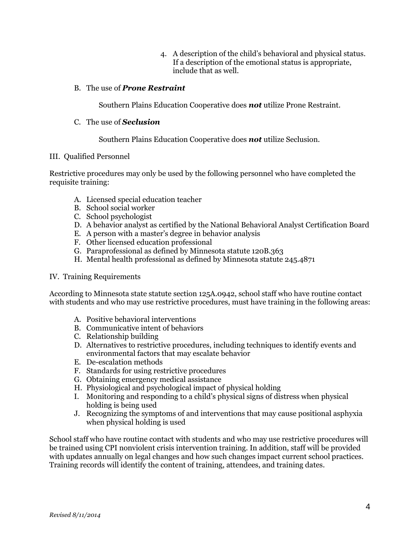4. A description of the child's behavioral and physical status. If a description of the emotional status is appropriate, include that as well.

# B. The use of *Prone Restraint*

Southern Plains Education Cooperative does *not* utilize Prone Restraint.

## C. The use of *Seclusion*

Southern Plains Education Cooperative does *not* utilize Seclusion.

## III. Qualified Personnel

Restrictive procedures may only be used by the following personnel who have completed the requisite training:

- A. Licensed special education teacher
- B. School social worker
- C. School psychologist
- D. A behavior analyst as certified by the National Behavioral Analyst Certification Board
- E. A person with a master's degree in behavior analysis
- F. Other licensed education professional
- G. Paraprofessional as defined by Minnesota statute 120B.363
- H. Mental health professional as defined by Minnesota statute 245.4871

## IV. Training Requirements

According to Minnesota state statute section 125A.0942, school staff who have routine contact with students and who may use restrictive procedures, must have training in the following areas:

- A. Positive behavioral interventions
- B. Communicative intent of behaviors
- C. Relationship building
- D. Alternatives to restrictive procedures, including techniques to identify events and environmental factors that may escalate behavior
- E. De-escalation methods
- F. Standards for using restrictive procedures
- G. Obtaining emergency medical assistance
- H. Physiological and psychological impact of physical holding
- I. Monitoring and responding to a child's physical signs of distress when physical holding is being used
- J. Recognizing the symptoms of and interventions that may cause positional asphyxia when physical holding is used

School staff who have routine contact with students and who may use restrictive procedures will be trained using CPI nonviolent crisis intervention training. In addition, staff will be provided with updates annually on legal changes and how such changes impact current school practices. Training records will identify the content of training, attendees, and training dates.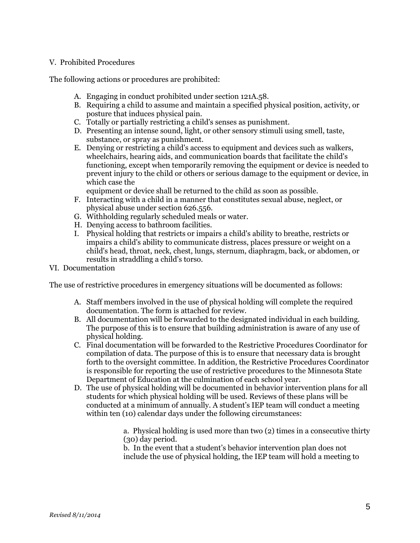# V. Prohibited Procedures

The following actions or procedures are prohibited:

- A. Engaging in conduct prohibited under section 121A.58.
- B. Requiring a child to assume and maintain a specified physical position, activity, or posture that induces physical pain.
- C. Totally or partially restricting a child's senses as punishment.
- D. Presenting an intense sound, light, or other sensory stimuli using smell, taste, substance, or spray as punishment.
- E. Denying or restricting a child's access to equipment and devices such as walkers, wheelchairs, hearing aids, and communication boards that facilitate the child's functioning, except when temporarily removing the equipment or device is needed to prevent injury to the child or others or serious damage to the equipment or device, in which case the

equipment or device shall be returned to the child as soon as possible.

- F. Interacting with a child in a manner that constitutes sexual abuse, neglect, or physical abuse under section 626.556.
- G. Withholding regularly scheduled meals or water.
- H. Denying access to bathroom facilities.
- I. Physical holding that restricts or impairs a child's ability to breathe, restricts or impairs a child's ability to communicate distress, places pressure or weight on a child's head, throat, neck, chest, lungs, sternum, diaphragm, back, or abdomen, or results in straddling a child's torso.
- VI. Documentation

The use of restrictive procedures in emergency situations will be documented as follows:

- A. Staff members involved in the use of physical holding will complete the required documentation. The form is attached for review.
- B. All documentation will be forwarded to the designated individual in each building. The purpose of this is to ensure that building administration is aware of any use of physical holding.
- C. Final documentation will be forwarded to the Restrictive Procedures Coordinator for compilation of data. The purpose of this is to ensure that necessary data is brought forth to the oversight committee. In addition, the Restrictive Procedures Coordinator is responsible for reporting the use of restrictive procedures to the Minnesota State Department of Education at the culmination of each school year.
- D. The use of physical holding will be documented in behavior intervention plans for all students for which physical holding will be used. Reviews of these plans will be conducted at a minimum of annually. A student's IEP team will conduct a meeting within ten (10) calendar days under the following circumstances:

a. Physical holding is used more than two (2) times in a consecutive thirty (30) day period.

b. In the event that a student's behavior intervention plan does not include the use of physical holding, the IEP team will hold a meeting to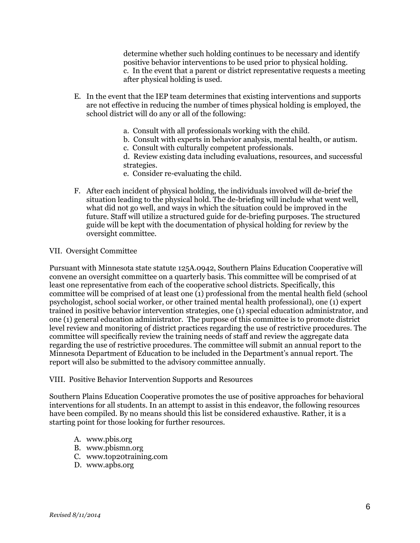determine whether such holding continues to be necessary and identify positive behavior interventions to be used prior to physical holding. c. In the event that a parent or district representative requests a meeting after physical holding is used.

- E. In the event that the IEP team determines that existing interventions and supports are not effective in reducing the number of times physical holding is employed, the school district will do any or all of the following:
	- a. Consult with all professionals working with the child.
	- b. Consult with experts in behavior analysis, mental health, or autism.
	- c. Consult with culturally competent professionals.

d. Review existing data including evaluations, resources, and successful strategies.

- e. Consider re-evaluating the child.
- F. After each incident of physical holding, the individuals involved will de-brief the situation leading to the physical hold. The de-briefing will include what went well, what did not go well, and ways in which the situation could be improved in the future. Staff will utilize a structured guide for de-briefing purposes. The structured guide will be kept with the documentation of physical holding for review by the oversight committee.

## VII. Oversight Committee

Pursuant with Minnesota state statute 125A.0942, Southern Plains Education Cooperative will convene an oversight committee on a quarterly basis. This committee will be comprised of at least one representative from each of the cooperative school districts. Specifically, this committee will be comprised of at least one (1) professional from the mental health field (school psychologist, school social worker, or other trained mental health professional), one (1) expert trained in positive behavior intervention strategies, one (1) special education administrator, and one (1) general education administrator. The purpose of this committee is to promote district level review and monitoring of district practices regarding the use of restrictive procedures. The committee will specifically review the training needs of staff and review the aggregate data regarding the use of restrictive procedures. The committee will submit an annual report to the Minnesota Department of Education to be included in the Department's annual report. The report will also be submitted to the advisory committee annually.

## VIII. Positive Behavior Intervention Supports and Resources

Southern Plains Education Cooperative promotes the use of positive approaches for behavioral interventions for all students. In an attempt to assist in this endeavor, the following resources have been compiled. By no means should this list be considered exhaustive. Rather, it is a starting point for those looking for further resources.

- A. www.pbis.org
- B. www.pbismn.org
- C. www.top20training.com
- D. www.apbs.org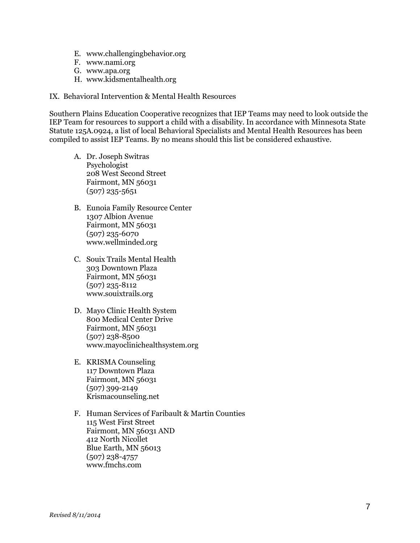- E. www.challengingbehavior.org
- F. www.nami.org
- G. www.apa.org
- H. www.kidsmentalhealth.org
- IX. Behavioral Intervention & Mental Health Resources

Southern Plains Education Cooperative recognizes that IEP Teams may need to look outside the IEP Team for resources to support a child with a disability. In accordance with Minnesota State Statute 125A.0924, a list of local Behavioral Specialists and Mental Health Resources has been compiled to assist IEP Teams. By no means should this list be considered exhaustive.

- A. Dr. Joseph Switras Psychologist 208 West Second Street Fairmont, MN 56031 (507) 235-5651
- B. Eunoia Family Resource Center 1307 Albion Avenue Fairmont, MN 56031 (507) 235-6070 www.wellminded.org
- C. Souix Trails Mental Health 303 Downtown Plaza Fairmont, MN 56031 (507) 235-8112 www.souixtrails.org
- D. Mayo Clinic Health System 800 Medical Center Drive Fairmont, MN 56031 (507) 238-8500 www.mayoclinichealthsystem.org
- E. KRISMA Counseling 117 Downtown Plaza Fairmont, MN 56031 (507) 399-2149 Krismacounseling.net
- F. Human Services of Faribault & Martin Counties 115 West First Street Fairmont, MN 56031 AND 412 North Nicollet Blue Earth, MN 56013 (507) 238-4757 www.fmchs.com